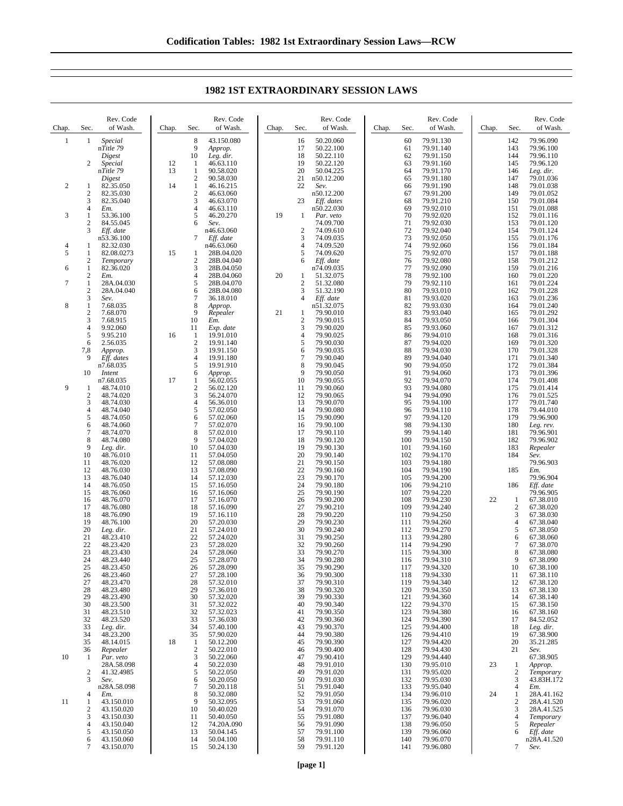| Chap.          | Sec.                | Rev. Code<br>of Wash.    | Chap. | Sec.                 | Rev. Code<br>of Wash.    | Chap. | Sec.                    | Rev. Code<br>of Wash.   | Chap. | Sec.       | Rev. Code<br>of Wash.  | Chap. | Sec.                           | Rev. Code<br>of Wash.  |
|----------------|---------------------|--------------------------|-------|----------------------|--------------------------|-------|-------------------------|-------------------------|-------|------------|------------------------|-------|--------------------------------|------------------------|
| $\mathbf{1}$   | $\mathbf{1}$        | Special                  |       | 8                    | 43.150.080               |       | 16                      | 50.20.060               |       | 60         | 79.91.130              |       | 142                            | 79.96.090              |
|                |                     | nTitle 79<br>Digest      |       | 9<br>10              | Approp.<br>Leg. dir.     |       | 17<br>18                | 50.22.100<br>50.22.110  |       | 61<br>62   | 79.91.140<br>79.91.150 |       | 143<br>144                     | 79.96.100<br>79.96.110 |
|                | 2                   | Special                  | 12    | 1                    | 46.63.110                |       | 19                      | 50.22.120               |       | 63         | 79.91.160              |       | 145                            | 79.96.120              |
|                |                     | nTitle 79                | 13    | 1                    | 90.58.020                |       | 20                      | 50.04.225               |       | 64         | 79.91.170              |       | 146                            | Leg. dir.              |
| $\overline{c}$ | 1                   | Digest<br>82.35.050      | 14    | $\overline{c}$<br>1  | 90.58.030<br>46.16.215   |       | 21<br>22                | n50.12.200<br>Sev.      |       | 65<br>66   | 79.91.180<br>79.91.190 |       | 147<br>148                     | 79.01.036<br>79.01.038 |
|                | $\mathbf{2}$        | 82.35.030                |       | $\overline{c}$       | 46.63.060                |       |                         | n50.12.200              |       | 67         | 79.91.200              |       | 149                            | 79.01.052              |
|                | 3                   | 82.35.040                |       | 3                    | 46.63.070                |       | 23                      | Eff. dates              |       | 68         | 79.91.210              |       | 150                            | 79.01.084              |
| 3              | 4<br>1              | Em.                      |       | 4<br>5               | 46.63.110                | 19    |                         | n50.22.030              |       | 69<br>70   | 79.92.010<br>79.92.020 |       | 151<br>152                     | 79.01.088<br>79.01.116 |
|                | $\boldsymbol{2}$    | 53.36.100<br>84.55.045   |       | 6                    | 46.20.270<br>Sev.        |       | 1                       | Par. veto<br>74.09.700  |       | 71         | 79.92.030              |       | 153                            | 79.01.120              |
|                | 3                   | Eff. date                |       |                      | n46.63.060               |       | $\overline{\mathbf{c}}$ | 74.09.610               |       | 72         | 79.92.040              |       | 154                            | 79.01.124              |
|                |                     | n53.36.100               |       | 7                    | Eff. date<br>n46.63.060  |       | 3<br>$\overline{4}$     | 74.09.035<br>74.09.520  |       | 73<br>74   | 79.92.050              |       | 155<br>156                     | 79.01.176<br>79.01.184 |
| 4<br>5         | 1<br>1              | 82.32.030<br>82.08.0273  | 15    | 1                    | 28B.04.020               |       | 5                       | 74.09.620               |       | 75         | 79.92.060<br>79.92.070 |       | 157                            | 79.01.188              |
|                | $\boldsymbol{2}$    | Temporary                |       | $\overline{2}$       | 28B.04.040               |       | 6                       | Eff. date               |       | 76         | 79.92.080              |       | 158                            | 79.01.212              |
| 6              | $\mathbf{1}$        | 82.36.020                |       | 3<br>4               | 28B.04.050               | 20    |                         | n74.09.035              |       | 77<br>78   | 79.92.090              |       | 159                            | 79.01.216              |
| 7              | 2<br>$\mathbf{1}$   | Em.<br>28A.04.030        |       | 5                    | 28B.04.060<br>28B.04.070 |       | 1<br>$\mathfrak{2}$     | 51.32.075<br>51.32.080  |       | 79         | 79.92.100<br>79.92.110 |       | 160<br>161                     | 79.01.220<br>79.01.224 |
|                | $\boldsymbol{2}$    | 28A.04.040               |       | 6                    | 28B.04.080               |       | 3                       | 51.32.190               |       | 80         | 79.93.010              |       | 162                            | 79.01.228              |
| 8              | 3                   | Sev.<br>7.68.035         |       | 7<br>8               | 36.18.010                |       | $\overline{4}$          | Eff. date               |       | 81         | 79.93.020              |       | 163                            | 79.01.236              |
|                | 1<br>$\overline{c}$ | 7.68.070                 |       | 9                    | Approp.<br>Repealer      | 21    | 1                       | n51.32.075<br>79.90.010 |       | 82<br>83   | 79.93.030<br>79.93.040 |       | 164<br>165                     | 79.01.240<br>79.01.292 |
|                | 3                   | 7.68.915                 |       | 10                   | Em.                      |       | $\overline{2}$          | 79.90.015               |       | 84         | 79.93.050              |       | 166                            | 79.01.304              |
|                | 4<br>5              | 9.92.060                 |       | 11                   | Exp. date<br>19.91.010   |       | 3<br>$\overline{4}$     | 79.90.020               |       | 85<br>86   | 79.93.060              |       | 167                            | 79.01.312              |
|                | 6                   | 9.95.210<br>2.56.035     | 16    | -1<br>$\overline{2}$ | 19.91.140                |       | 5                       | 79.90.025<br>79.90.030  |       | 87         | 79.94.010<br>79.94.020 |       | 168<br>169                     | 79.01.316<br>79.01.320 |
|                | 7,8                 | Approp.                  |       | 3                    | 19.91.150                |       | 6                       | 79.90.035               |       | 88         | 79.94.030              |       | 170                            | 79.01.328              |
|                | 9                   | Eff. dates               |       | 4                    | 19.91.180                |       | $\overline{7}$<br>8     | 79.90.040               |       | 89<br>90   | 79.94.040              |       | 171                            | 79.01.340              |
|                | 10                  | n7.68.035<br>Intent      |       | 5<br>6               | 19.91.910<br>Approp.     |       | 9                       | 79.90.045<br>79.90.050  |       | 91         | 79.94.050<br>79.94.060 |       | 172<br>173                     | 79.01.384<br>79.01.396 |
|                |                     | n7.68.035                | 17    | 1                    | 56.02.055                |       | 10                      | 79.90.055               |       | 92         | 79.94.070              |       | 174                            | 79.01.408              |
| 9              | 1<br>$\overline{c}$ | 48.74.010                |       | $\sqrt{2}$<br>3      | 56.02.120                |       | 11<br>12                | 79.90.060               |       | 93<br>94   | 79.94.080              |       | 175                            | 79.01.414<br>79.01.525 |
|                | 3                   | 48.74.020<br>48.74.030   |       | $\overline{4}$       | 56.24.070<br>56.36.010   |       | 13                      | 79.90.065<br>79.90.070  |       | 95         | 79.94.090<br>79.94.100 |       | 176<br>177                     | 79.01.740              |
|                | 4                   | 48.74.040                |       | 5                    | 57.02.050                |       | 14                      | 79.90.080               |       | 96         | 79.94.110              |       | 178                            | 79.44.010              |
|                | 5                   | 48.74.050                |       | 6<br>$\overline{7}$  | 57.02.060                |       | 15                      | 79.90.090               |       | 97<br>98   | 79.94.120              |       | 179                            | 79.96.900              |
|                | 6<br>7              | 48.74.060<br>48.74.070   |       | 8                    | 57.02.070<br>57.02.010   |       | 16<br>17                | 79.90.100<br>79.90.110  |       | 99         | 79.94.130<br>79.94.140 |       | 180<br>181                     | Leg. rev.<br>79.96.901 |
|                | 8                   | 48.74.080                |       | 9                    | 57.04.020                |       | 18                      | 79.90.120               |       | 100        | 79.94.150              |       | 182                            | 79.96.902              |
|                | 9                   | Leg. dir.                |       | 10                   | 57.04.030                |       | 19                      | 79.90.130               |       | 101        | 79.94.160              |       | 183                            | Repealer               |
|                | 10<br>11            | 48.76.010<br>48.76.020   |       | 11<br>12             | 57.04.050<br>57.08.080   |       | 20<br>21                | 79.90.140<br>79.90.150  |       | 102<br>103 | 79.94.170<br>79.94.180 |       | 184                            | Sev.<br>79.96.903      |
|                | 12                  | 48.76.030                |       | 13                   | 57.08.090                |       | 22                      | 79.90.160               |       | 104        | 79.94.190              |       | 185                            | Em.                    |
|                | 13                  | 48.76.040                |       | 14                   | 57.12.030                |       | 23                      | 79.90.170               |       | 105        | 79.94.200              |       |                                | 79.96.904              |
|                | 14<br>15            | 48.76.050<br>48.76.060   |       | 15<br>16             | 57.16.050<br>57.16.060   |       | 24<br>25                | 79.90.180<br>79.90.190  |       | 106<br>107 | 79.94.210<br>79.94.220 |       | 186                            | Eff. date<br>79.96.905 |
|                | 16                  | 48.76.070                |       | 17                   | 57.16.070                |       | 26                      | 79.90.200               |       | 108        | 79.94.230              | 22    | $\mathbf{1}$                   | 67.38.010              |
|                | 17                  | 48.76.080                |       | 18<br>19             | 57.16.090                |       | 27<br>28                | 79.90.210<br>79.90.220  |       | 109<br>110 | 79.94.240              |       | $\overline{2}$<br>3            | 67.38.020<br>67.38.030 |
|                | 18<br>19            | 48.76.090<br>48.76.100   |       | 20                   | 57.16.110<br>57.20.030   |       | 29                      | 79.90.230               |       | 111        | 79.94.250<br>79.94.260 |       | 4                              | 67.38.040              |
|                | 20                  | Leg. dir.                |       | 21                   | 57.24.010                |       | 30                      | 79.90.240               |       | 112        | 79.94.270              |       | 5                              | 67.38.050              |
|                | 21<br>22            | 48.23.410<br>48.23.420   |       | 22<br>23             | 57.24.020<br>57.28.020   |       | 31<br>32                | 79.90.250<br>79.90.260  |       | 113<br>114 | 79.94.280<br>79.94.290 |       | 6<br>7                         | 67.38.060<br>67.38.070 |
|                | 23                  | 48.23.430                |       | 24                   | 57.28.060                |       | 33                      | 79.90.270               |       | 115        | 79.94.300              |       | 8                              | 67.38.080              |
|                | 24                  | 48.23.440                |       | 25                   | 57.28.070                |       | 34                      | 79.90.280               |       | 116        | 79.94.310              |       | 9                              | 67.38.090              |
|                | 25<br>26            | 48.23.450<br>48.23.460   |       | 26<br>27             | 57.28.090<br>57.28.100   |       | 35<br>36                | 79.90.290<br>79.90.300  |       | 117<br>118 | 79.94.320<br>79.94.330 |       | 10<br>11                       | 67.38.100<br>67.38.110 |
|                | 27                  | 48.23.470                |       | 28                   | 57.32.010                |       | 37                      | 79.90.310               |       | 119        | 79.94.340              |       | 12                             | 67.38.120              |
|                | 28                  | 48.23.480                |       | 29                   | 57.36.010                |       | 38                      | 79.90.320               |       | 120        | 79.94.350              |       | 13                             | 67.38.130              |
|                | 29<br>30            | 48.23.490<br>48.23.500   |       | 30<br>31             | 57.32.020<br>57.32.022   |       | 39<br>40                | 79.90.330<br>79.90.340  |       | 121<br>122 | 79.94.360<br>79.94.370 |       | 14<br>15                       | 67.38.140<br>67.38.150 |
|                | 31                  | 48.23.510                |       | 32                   | 57.32.023                |       | 41                      | 79.90.350               |       | 123        | 79.94.380              |       | 16                             | 67.38.160              |
|                | 32                  | 48.23.520                |       | 33                   | 57.36.030                |       | 42                      | 79.90.360               |       | 124        | 79.94.390              |       | 17                             | 84.52.052              |
|                | 33<br>34            | Leg. dir.<br>48.23.200   |       | 34<br>35             | 57.40.100<br>57.90.020   |       | 43<br>44                | 79.90.370<br>79.90.380  |       | 125<br>126 | 79.94.400<br>79.94.410 |       | 18<br>19                       | Leg. dir.<br>67.38.900 |
|                | 35                  | 48.14.015                | 18    | 1                    | 50.12.200                |       | 45                      | 79.90.390               |       | 127        | 79.94.420              |       | 20                             | 35.21.285              |
|                | 36                  | Repealer                 |       | $\boldsymbol{2}$     | 50.22.010                |       | 46                      | 79.90.400               |       | 128        | 79.94.430              |       | 21                             | Sev.                   |
| 10             | 1                   | Par. veto<br>28A.58.098  |       | 3<br>$\overline{4}$  | 50.22.060<br>50.22.030   |       | 47<br>48                | 79.90.410<br>79.91.010  |       | 129<br>130 | 79.94.440<br>79.95.010 | 23    | $\mathbf{1}$                   | 67.38.905<br>Approp.   |
|                | $\mathfrak{2}$      | 41.32.4985               |       | 5                    | 50.22.050                |       | 49                      | 79.91.020               |       | 131        | 79.95.020              |       | $\overline{2}$                 | Temporary              |
|                | 3                   | Sev.                     |       | 6                    | 50.20.050                |       | 50                      | 79.91.030               |       | 132        | 79.95.030              |       | 3                              | 43.83H.172             |
|                | 4                   | n28A.58.098<br>Em.       |       | $\overline{7}$<br>8  | 50.20.118<br>50.32.080   |       | 51<br>52                | 79.91.040<br>79.91.050  |       | 133<br>134 | 79.95.040<br>79.96.010 | 24    | $\overline{4}$<br>$\mathbf{1}$ | Em.<br>28A.41.162      |
| 11             | 1                   | 43.150.010               |       | 9                    | 50.32.095                |       | 53                      | 79.91.060               |       | 135        | 79.96.020              |       | $\overline{c}$                 | 28A.41.520             |
|                | 2                   | 43.150.020               |       | 10                   | 50.40.020                |       | 54                      | 79.91.070               |       | 136        | 79.96.030              |       | 3                              | 28A.41.525             |
|                | 3<br>4              | 43.150.030<br>43.150.040 |       | 11<br>12             | 50.40.050<br>74.20A.090  |       | 55<br>56                | 79.91.080<br>79.91.090  |       | 137<br>138 | 79.96.040<br>79.96.050 |       | $\overline{4}$<br>5            | Temporary<br>Repealer  |
|                | 5                   | 43.150.050               |       | 13                   | 50.04.145                |       | 57                      | 79.91.100               |       | 139        | 79.96.060              |       | 6                              | Eff. date              |
|                | 6                   | 43.150.060               |       | 14                   | 50.04.100                |       | 58                      | 79.91.110               |       | 140        | 79.96.070              |       |                                | n28A.41.520            |
|                | 7                   | 43.150.070               |       | 15                   | 50.24.130                |       | 59                      | 79.91.120               |       | 141        | 79.96.080              |       | 7                              | Sev.                   |

## **1982 1ST EXTRAORDINARY SESSION LAWS**